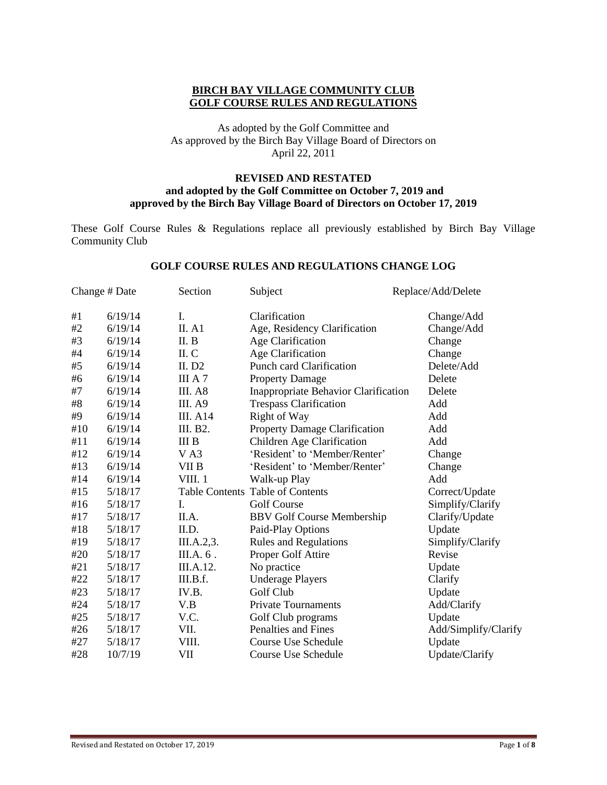# **BIRCH BAY VILLAGE COMMUNITY CLUB GOLF COURSE RULES AND REGULATIONS**

# As adopted by the Golf Committee and As approved by the Birch Bay Village Board of Directors on April 22, 2011

#### **REVISED AND RESTATED and adopted by the Golf Committee on October 7, 2019 and approved by the Birch Bay Village Board of Directors on October 17, 2019**

These Golf Course Rules & Regulations replace all previously established by Birch Bay Village Community Club

#### **GOLF COURSE RULES AND REGULATIONS CHANGE LOG**

| Change # Date |         | Section               | Subject                              | Replace/Add/Delete   |  |
|---------------|---------|-----------------------|--------------------------------------|----------------------|--|
| #1            | 6/19/14 | I.                    | Clarification                        | Change/Add           |  |
| #2            | 6/19/14 | II. A1                | Age, Residency Clarification         | Change/Add           |  |
| #3            | 6/19/14 | II. B                 | Age Clarification                    | Change               |  |
| #4            | 6/19/14 | II. C                 | Age Clarification                    | Change               |  |
| #5            | 6/19/14 | II. $D2$              | <b>Punch card Clarification</b>      | Delete/Add           |  |
| #6            | 6/19/14 | III A 7               | <b>Property Damage</b>               | Delete               |  |
| #7            | 6/19/14 | III. A8               | Inappropriate Behavior Clarification | Delete               |  |
| #8            | 6/19/14 | <b>III.</b> A9        | <b>Trespass Clarification</b>        | Add                  |  |
| #9            | 6/19/14 | <b>III.</b> A14       | Right of Way                         | Add                  |  |
| #10           | 6/19/14 | III. B2.              | <b>Property Damage Clarification</b> | Add                  |  |
| #11           | 6/19/14 | III <sub>B</sub>      | Children Age Clarification           | Add                  |  |
| #12           | 6/19/14 | V A3                  | 'Resident' to 'Member/Renter'        | Change               |  |
| #13           | 6/19/14 | VII B                 | 'Resident' to 'Member/Renter'        | Change               |  |
| #14           | 6/19/14 | VIII.1                | Walk-up Play                         | Add                  |  |
| #15           | 5/18/17 | <b>Table Contents</b> | <b>Table of Contents</b>             | Correct/Update       |  |
| #16           | 5/18/17 | I.                    | <b>Golf Course</b>                   | Simplify/Clarify     |  |
| #17           | 5/18/17 | II.A.                 | <b>BBV Golf Course Membership</b>    | Clarify/Update       |  |
| #18           | 5/18/17 | II.D.                 | Paid-Play Options                    | Update               |  |
| #19           | 5/18/17 | III.A.2,3.            | <b>Rules and Regulations</b>         | Simplify/Clarify     |  |
| #20           | 5/18/17 | III.A. 6.             | Proper Golf Attire                   | Revise               |  |
| #21           | 5/18/17 | III.A.12.             | No practice                          | Update               |  |
| #22           | 5/18/17 | III.B.f.              | <b>Underage Players</b>              | Clarify              |  |
| #23           | 5/18/17 | IV.B.                 | Golf Club                            | Update               |  |
| #24           | 5/18/17 | V.B                   | <b>Private Tournaments</b>           | Add/Clarify          |  |
| #25           | 5/18/17 | V.C.                  | Golf Club programs                   | Update               |  |
| #26           | 5/18/17 | VII.                  | Penalties and Fines                  | Add/Simplify/Clarify |  |
| #27           | 5/18/17 | VIII.                 | <b>Course Use Schedule</b>           | Update               |  |
| #28           | 10/7/19 | VII                   | Course Use Schedule                  | Update/Clarify       |  |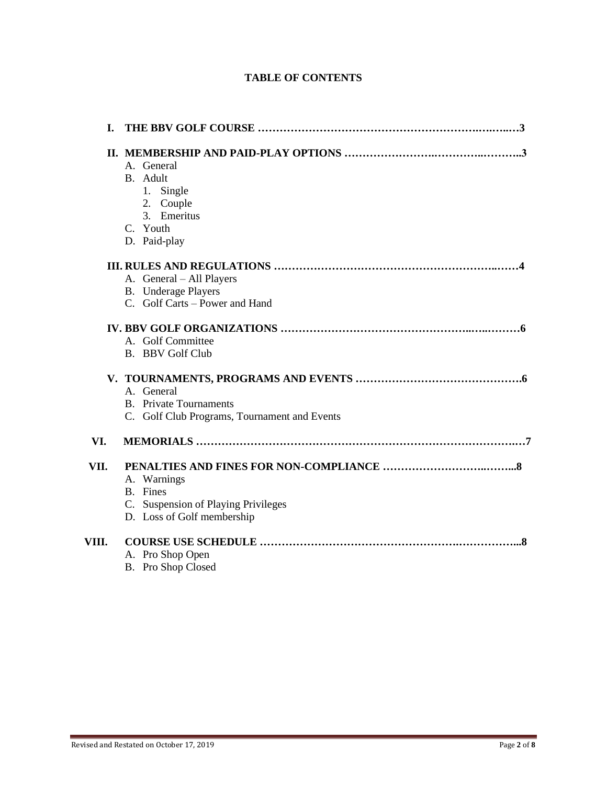| I.    |                                                                                              |
|-------|----------------------------------------------------------------------------------------------|
|       | A. General<br>B. Adult<br>1. Single<br>2. Couple<br>3. Emeritus<br>C. Youth<br>D. Paid-play  |
|       | A. General - All Players<br><b>B.</b> Underage Players<br>C. Golf Carts – Power and Hand     |
|       | A. Golf Committee<br><b>B.</b> BBV Golf Club                                                 |
|       | A. General<br><b>B.</b> Private Tournaments<br>C. Golf Club Programs, Tournament and Events  |
| VI.   |                                                                                              |
| VII.  | A. Warnings<br>B. Fines<br>C. Suspension of Playing Privileges<br>D. Loss of Golf membership |
| VIII. | A. Pro Shop Open<br>B. Pro Shop Closed                                                       |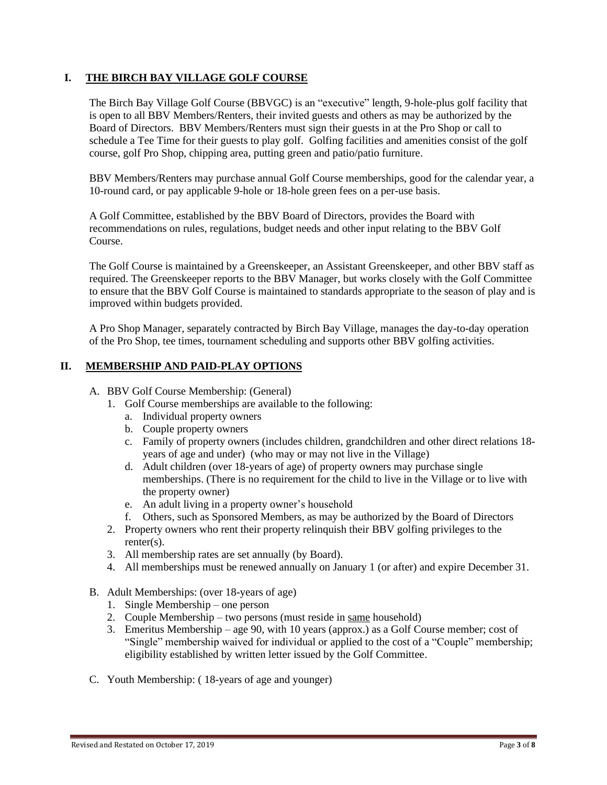# **I. THE BIRCH BAY VILLAGE GOLF COURSE**

The Birch Bay Village Golf Course (BBVGC) is an "executive" length, 9-hole-plus golf facility that is open to all BBV Members/Renters, their invited guests and others as may be authorized by the Board of Directors. BBV Members/Renters must sign their guests in at the Pro Shop or call to schedule a Tee Time for their guests to play golf. Golfing facilities and amenities consist of the golf course, golf Pro Shop, chipping area, putting green and patio/patio furniture.

BBV Members/Renters may purchase annual Golf Course memberships, good for the calendar year, a 10-round card, or pay applicable 9-hole or 18-hole green fees on a per-use basis.

A Golf Committee, established by the BBV Board of Directors, provides the Board with recommendations on rules, regulations, budget needs and other input relating to the BBV Golf Course.

The Golf Course is maintained by a Greenskeeper, an Assistant Greenskeeper, and other BBV staff as required. The Greenskeeper reports to the BBV Manager, but works closely with the Golf Committee to ensure that the BBV Golf Course is maintained to standards appropriate to the season of play and is improved within budgets provided.

A Pro Shop Manager, separately contracted by Birch Bay Village, manages the day-to-day operation of the Pro Shop, tee times, tournament scheduling and supports other BBV golfing activities.

#### **II. MEMBERSHIP AND PAID-PLAY OPTIONS**

#### A. BBV Golf Course Membership: (General)

- 1. Golf Course memberships are available to the following:
	- a. Individual property owners
	- b. Couple property owners
	- c. Family of property owners (includes children, grandchildren and other direct relations 18 years of age and under) (who may or may not live in the Village)
	- d. Adult children (over 18-years of age) of property owners may purchase single memberships. (There is no requirement for the child to live in the Village or to live with the property owner)
	- e. An adult living in a property owner's household
	- f. Others, such as Sponsored Members, as may be authorized by the Board of Directors
- 2. Property owners who rent their property relinquish their BBV golfing privileges to the renter(s).
- 3. All membership rates are set annually (by Board).
- 4. All memberships must be renewed annually on January 1 (or after) and expire December 31.
- B. Adult Memberships: (over 18-years of age)
	- 1. Single Membership one person
	- 2. Couple Membership two persons (must reside in same household)
	- 3. Emeritus Membership age 90, with 10 years (approx.) as a Golf Course member; cost of "Single" membership waived for individual or applied to the cost of a "Couple" membership; eligibility established by written letter issued by the Golf Committee.
- C. Youth Membership: ( 18-years of age and younger)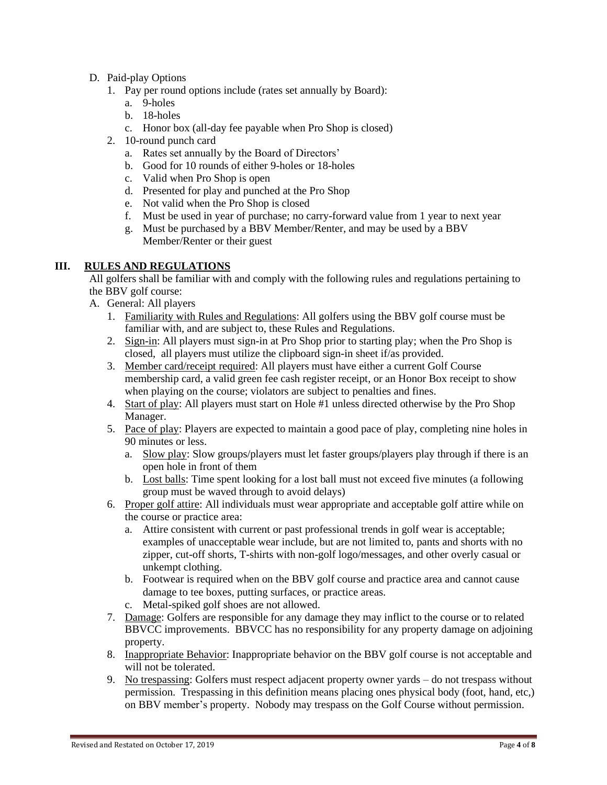# D. Paid-play Options

- 1. Pay per round options include (rates set annually by Board):
	- a. 9-holes
	- b. 18-holes
	- c. Honor box (all-day fee payable when Pro Shop is closed)
- 2. 10-round punch card
	- a. Rates set annually by the Board of Directors'
	- b. Good for 10 rounds of either 9-holes or 18-holes
	- c. Valid when Pro Shop is open
	- d. Presented for play and punched at the Pro Shop
	- e. Not valid when the Pro Shop is closed
	- f. Must be used in year of purchase; no carry-forward value from 1 year to next year
	- g. Must be purchased by a BBV Member/Renter, and may be used by a BBV Member/Renter or their guest

# **III. RULES AND REGULATIONS**

All golfers shall be familiar with and comply with the following rules and regulations pertaining to the BBV golf course:

- A. General: All players
	- 1. Familiarity with Rules and Regulations: All golfers using the BBV golf course must be familiar with, and are subject to, these Rules and Regulations.
	- 2. Sign-in: All players must sign-in at Pro Shop prior to starting play; when the Pro Shop is closed, all players must utilize the clipboard sign-in sheet if/as provided.
	- 3. Member card/receipt required: All players must have either a current Golf Course membership card, a valid green fee cash register receipt, or an Honor Box receipt to show when playing on the course; violators are subject to penalties and fines.
	- 4. Start of play: All players must start on Hole #1 unless directed otherwise by the Pro Shop Manager.
	- 5. Pace of play: Players are expected to maintain a good pace of play, completing nine holes in 90 minutes or less.
		- a. Slow play: Slow groups/players must let faster groups/players play through if there is an open hole in front of them
		- b. Lost balls: Time spent looking for a lost ball must not exceed five minutes (a following group must be waved through to avoid delays)
	- 6. Proper golf attire: All individuals must wear appropriate and acceptable golf attire while on the course or practice area:
		- a. Attire consistent with current or past professional trends in golf wear is acceptable; examples of unacceptable wear include, but are not limited to, pants and shorts with no zipper, cut-off shorts, T-shirts with non-golf logo/messages, and other overly casual or unkempt clothing.
		- b. Footwear is required when on the BBV golf course and practice area and cannot cause damage to tee boxes, putting surfaces, or practice areas.
		- c. Metal-spiked golf shoes are not allowed.
	- 7. Damage: Golfers are responsible for any damage they may inflict to the course or to related BBVCC improvements. BBVCC has no responsibility for any property damage on adjoining property.
	- 8. Inappropriate Behavior: Inappropriate behavior on the BBV golf course is not acceptable and will not be tolerated.
	- 9. No trespassing: Golfers must respect adjacent property owner yards do not trespass without permission. Trespassing in this definition means placing ones physical body (foot, hand, etc,) on BBV member's property. Nobody may trespass on the Golf Course without permission.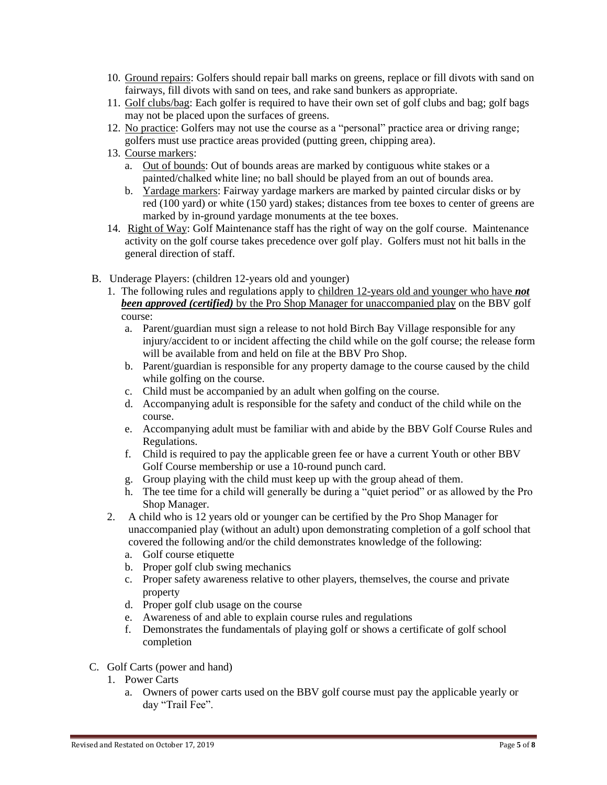- 10. Ground repairs: Golfers should repair ball marks on greens, replace or fill divots with sand on fairways, fill divots with sand on tees, and rake sand bunkers as appropriate.
- 11. Golf clubs/bag: Each golfer is required to have their own set of golf clubs and bag; golf bags may not be placed upon the surfaces of greens.
- 12. No practice: Golfers may not use the course as a "personal" practice area or driving range; golfers must use practice areas provided (putting green, chipping area).
- 13. Course markers:
	- a. Out of bounds: Out of bounds areas are marked by contiguous white stakes or a painted/chalked white line; no ball should be played from an out of bounds area.
	- b. Yardage markers: Fairway yardage markers are marked by painted circular disks or by red (100 yard) or white (150 yard) stakes; distances from tee boxes to center of greens are marked by in-ground yardage monuments at the tee boxes.
- 14. Right of Way: Golf Maintenance staff has the right of way on the golf course. Maintenance activity on the golf course takes precedence over golf play. Golfers must not hit balls in the general direction of staff.
- B. Underage Players: (children 12-years old and younger)
	- 1. The following rules and regulations apply to children 12-years old and younger who have *not been approved (certified)* by the Pro Shop Manager for unaccompanied play on the BBV golf course:
		- a. Parent/guardian must sign a release to not hold Birch Bay Village responsible for any injury/accident to or incident affecting the child while on the golf course; the release form will be available from and held on file at the BBV Pro Shop.
		- b. Parent/guardian is responsible for any property damage to the course caused by the child while golfing on the course.
		- c. Child must be accompanied by an adult when golfing on the course.
		- d. Accompanying adult is responsible for the safety and conduct of the child while on the course.
		- e. Accompanying adult must be familiar with and abide by the BBV Golf Course Rules and Regulations.
		- f. Child is required to pay the applicable green fee or have a current Youth or other BBV Golf Course membership or use a 10-round punch card.
		- g. Group playing with the child must keep up with the group ahead of them.
		- h. The tee time for a child will generally be during a "quiet period" or as allowed by the Pro Shop Manager.
	- 2. A child who is 12 years old or younger can be certified by the Pro Shop Manager for unaccompanied play (without an adult) upon demonstrating completion of a golf school that covered the following and/or the child demonstrates knowledge of the following:
		- a. Golf course etiquette
		- b. Proper golf club swing mechanics
		- c. Proper safety awareness relative to other players, themselves, the course and private property
		- d. Proper golf club usage on the course
		- e. Awareness of and able to explain course rules and regulations
		- f. Demonstrates the fundamentals of playing golf or shows a certificate of golf school completion
- C. Golf Carts (power and hand)
	- 1. Power Carts
		- a. Owners of power carts used on the BBV golf course must pay the applicable yearly or day "Trail Fee".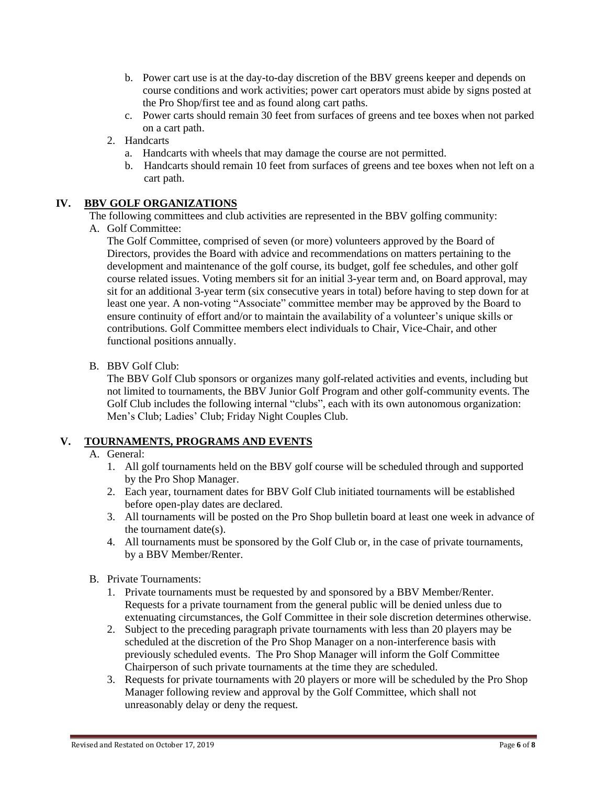- b. Power cart use is at the day-to-day discretion of the BBV greens keeper and depends on course conditions and work activities; power cart operators must abide by signs posted at the Pro Shop/first tee and as found along cart paths.
- c. Power carts should remain 30 feet from surfaces of greens and tee boxes when not parked on a cart path.
- 2. Handcarts
	- a. Handcarts with wheels that may damage the course are not permitted.
	- b. Handcarts should remain 10 feet from surfaces of greens and tee boxes when not left on a cart path.

# **IV. BBV GOLF ORGANIZATIONS**

The following committees and club activities are represented in the BBV golfing community:

A. Golf Committee:

The Golf Committee, comprised of seven (or more) volunteers approved by the Board of Directors, provides the Board with advice and recommendations on matters pertaining to the development and maintenance of the golf course, its budget, golf fee schedules, and other golf course related issues. Voting members sit for an initial 3-year term and, on Board approval, may sit for an additional 3-year term (six consecutive years in total) before having to step down for at least one year. A non-voting "Associate" committee member may be approved by the Board to ensure continuity of effort and/or to maintain the availability of a volunteer's unique skills or contributions. Golf Committee members elect individuals to Chair, Vice-Chair, and other functional positions annually.

B. BBV Golf Club:

The BBV Golf Club sponsors or organizes many golf-related activities and events, including but not limited to tournaments, the BBV Junior Golf Program and other golf-community events. The Golf Club includes the following internal "clubs", each with its own autonomous organization: Men's Club; Ladies' Club; Friday Night Couples Club.

# **V. TOURNAMENTS, PROGRAMS AND EVENTS**

# A. General:

- 1. All golf tournaments held on the BBV golf course will be scheduled through and supported by the Pro Shop Manager.
- 2. Each year, tournament dates for BBV Golf Club initiated tournaments will be established before open-play dates are declared.
- 3. All tournaments will be posted on the Pro Shop bulletin board at least one week in advance of the tournament date(s).
- 4. All tournaments must be sponsored by the Golf Club or, in the case of private tournaments, by a BBV Member/Renter.
- B. Private Tournaments:
	- 1. Private tournaments must be requested by and sponsored by a BBV Member/Renter. Requests for a private tournament from the general public will be denied unless due to extenuating circumstances, the Golf Committee in their sole discretion determines otherwise.
	- 2. Subject to the preceding paragraph private tournaments with less than 20 players may be scheduled at the discretion of the Pro Shop Manager on a non-interference basis with previously scheduled events. The Pro Shop Manager will inform the Golf Committee Chairperson of such private tournaments at the time they are scheduled.
	- 3. Requests for private tournaments with 20 players or more will be scheduled by the Pro Shop Manager following review and approval by the Golf Committee, which shall not unreasonably delay or deny the request.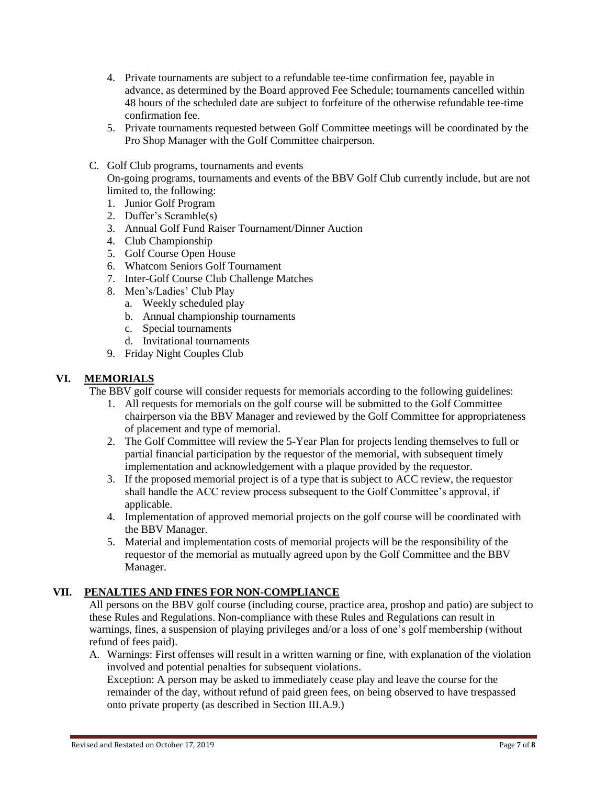- 4. Private tournaments are subject to a refundable tee-time confirmation fee, payable in advance, as determined by the Board approved Fee Schedule; tournaments cancelled within 48 hours of the scheduled date are subject to forfeiture of the otherwise refundable tee-time confirmation fee.
- 5. Private tournaments requested between Golf Committee meetings will be coordinated by the Pro Shop Manager with the Golf Committee chairperson.

### C. Golf Club programs, tournaments and events

On-going programs, tournaments and events of the BBV Golf Club currently include, but are not limited to, the following:

- 1. Junior Golf Program
- 2. Duffer's Scramble(s)
- 3. Annual Golf Fund Raiser Tournament/Dinner Auction
- 4. Club Championship
- 5. Golf Course Open House
- 6. Whatcom Seniors Golf Tournament
- 7. Inter-Golf Course Club Challenge Matches
- 8. Men's/Ladies' Club Play
	- a. Weekly scheduled play
	- b. Annual championship tournaments
	- c. Special tournaments
	- d. Invitational tournaments
- 9. Friday Night Couples Club

# **VI. MEMORIALS**

The BBV golf course will consider requests for memorials according to the following guidelines:

- 1. All requests for memorials on the golf course will be submitted to the Golf Committee chairperson via the BBV Manager and reviewed by the Golf Committee for appropriateness of placement and type of memorial.
- 2. The Golf Committee will review the 5-Year Plan for projects lending themselves to full or partial financial participation by the requestor of the memorial, with subsequent timely implementation and acknowledgement with a plaque provided by the requestor.
- 3. If the proposed memorial project is of a type that is subject to ACC review, the requestor shall handle the ACC review process subsequent to the Golf Committee's approval, if applicable.
- 4. Implementation of approved memorial projects on the golf course will be coordinated with the BBV Manager.
- 5. Material and implementation costs of memorial projects will be the responsibility of the requestor of the memorial as mutually agreed upon by the Golf Committee and the BBV Manager.

# **VII. PENALTIES AND FINES FOR NON-COMPLIANCE**

All persons on the BBV golf course (including course, practice area, proshop and patio) are subject to these Rules and Regulations. Non-compliance with these Rules and Regulations can result in warnings, fines, a suspension of playing privileges and/or a loss of one's golf membership (without refund of fees paid).

A. Warnings: First offenses will result in a written warning or fine, with explanation of the violation involved and potential penalties for subsequent violations.

Exception: A person may be asked to immediately cease play and leave the course for the remainder of the day, without refund of paid green fees, on being observed to have trespassed onto private property (as described in Section III.A.9.)